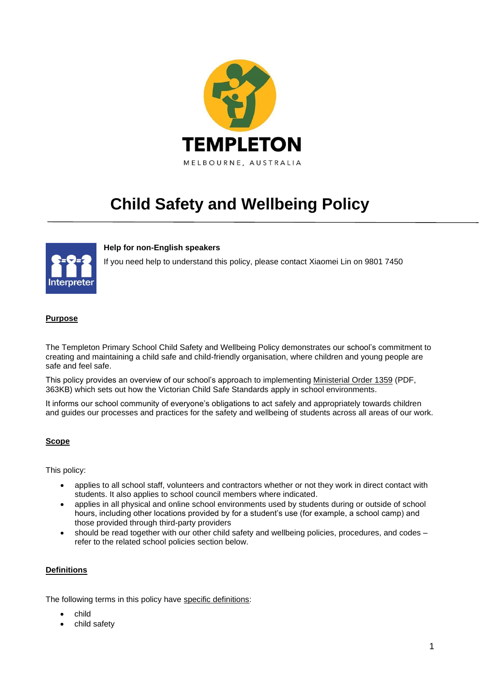

# **Child Safety and Wellbeing Policy**

## **Help for non-English speakers**

If you need help to understand this policy, please contact Xiaomei Lin on 9801 7450

## **Purpose**

The Templeton Primary School Child Safety and Wellbeing Policy demonstrates our school's commitment to creating and maintaining a child safe and child-friendly organisation, where children and young people are safe and feel safe.

This policy provides an overview of our school's approach to implementing [Ministerial Order 1359](https://www.education.vic.gov.au/Documents/about/programs/health/protect/Ministerial_Order.pdf) (PDF, 363KB) which sets out how the Victorian Child Safe Standards apply in school environments.

It informs our school community of everyone's obligations to act safely and appropriately towards children and guides our processes and practices for the safety and wellbeing of students across all areas of our work.

#### **Scope**

This policy:

- applies to all school staff, volunteers and contractors whether or not they work in direct contact with students. It also applies to school council members where indicated.
- applies in all physical and online school environments used by students during or outside of school hours, including other locations provided by for a student's use (for example, a school camp) and those provided through third-party providers
- should be read together with our other child safety and wellbeing policies, procedures, and codes refer to the related school policies section below.

#### **Definitions**

The following terms in this policy have [specific definitions:](https://www.vic.gov.au/child-safe-standards-definitions)

- child
- child safety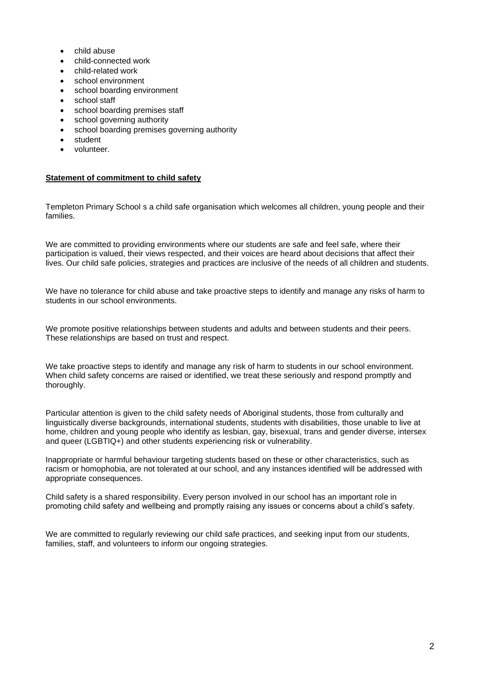- child abuse
- child-connected work
- child-related work
- school environment
- school boarding environment
- school staff
- school boarding premises staff
- school governing authority
- school boarding premises governing authority
- student
- volunteer.

#### **Statement of commitment to child safety**

Templeton Primary School s a child safe organisation which welcomes all children, young people and their families.

We are committed to providing environments where our students are safe and feel safe, where their participation is valued, their views respected, and their voices are heard about decisions that affect their lives. Our child safe policies, strategies and practices are inclusive of the needs of all children and students.

We have no tolerance for child abuse and take proactive steps to identify and manage any risks of harm to students in our school environments.

We promote positive relationships between students and adults and between students and their peers. These relationships are based on trust and respect.

We take proactive steps to identify and manage any risk of harm to students in our school environment. When child safety concerns are raised or identified, we treat these seriously and respond promptly and thoroughly.

Particular attention is given to the child safety needs of Aboriginal students, those from culturally and linguistically diverse backgrounds, international students, students with disabilities, those unable to live at home, children and young people who identify as lesbian, gay, bisexual, trans and gender diverse, intersex and queer (LGBTIQ+) and other students experiencing risk or vulnerability.

Inappropriate or harmful behaviour targeting students based on these or other characteristics, such as racism or homophobia, are not tolerated at our school, and any instances identified will be addressed with appropriate consequences.

Child safety is a shared responsibility. Every person involved in our school has an important role in promoting child safety and wellbeing and promptly raising any issues or concerns about a child's safety.

We are committed to regularly reviewing our child safe practices, and seeking input from our students, families, staff, and volunteers to inform our ongoing strategies.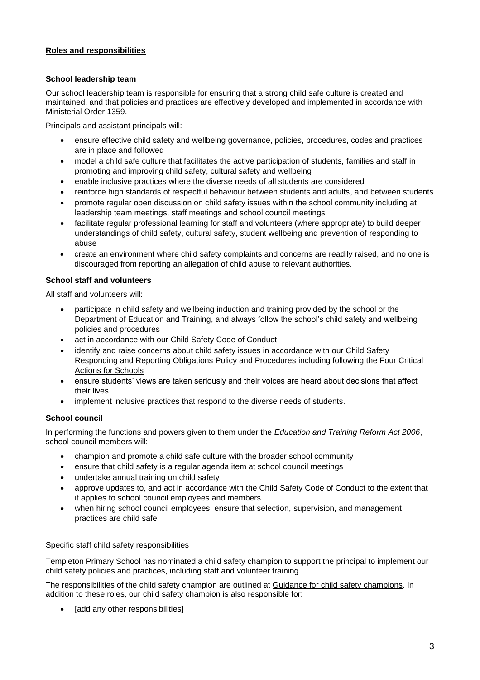## **Roles and responsibilities**

## **School leadership team**

Our school leadership team is responsible for ensuring that a strong child safe culture is created and maintained, and that policies and practices are effectively developed and implemented in accordance with Ministerial Order 1359.

Principals and assistant principals will:

- ensure effective child safety and wellbeing governance, policies, procedures, codes and practices are in place and followed
- model a child safe culture that facilitates the active participation of students, families and staff in promoting and improving child safety, cultural safety and wellbeing
- enable inclusive practices where the diverse needs of all students are considered
- reinforce high standards of respectful behaviour between students and adults, and between students
- promote regular open discussion on child safety issues within the school community including at leadership team meetings, staff meetings and school council meetings
- facilitate regular professional learning for staff and volunteers (where appropriate) to build deeper understandings of child safety, cultural safety, student wellbeing and prevention of responding to abuse
- create an environment where child safety complaints and concerns are readily raised, and no one is discouraged from reporting an allegation of child abuse to relevant authorities.

## **School staff and volunteers**

All staff and volunteers will:

- participate in child safety and wellbeing induction and training provided by the school or the Department of Education and Training, and always follow the school's child safety and wellbeing policies and procedures
- act in accordance with our Child Safety Code of Conduct
- identify and raise concerns about child safety issues in accordance with our Child Safety Responding and Reporting Obligations Policy and Procedures including following the [Four Critical](https://www.education.vic.gov.au/school/teachers/health/childprotection/Pages/report.aspx)  **[Actions for Schools](https://www.education.vic.gov.au/school/teachers/health/childprotection/Pages/report.aspx)**
- ensure students' views are taken seriously and their voices are heard about decisions that affect their lives
- implement inclusive practices that respond to the diverse needs of students.

# **School council**

In performing the functions and powers given to them under the *Education and Training Reform Act 2006*, school council members will:

- champion and promote a child safe culture with the broader school community
- ensure that child safety is a regular agenda item at school council meetings
- undertake annual training on child safety
- approve updates to, and act in accordance with the Child Safety Code of Conduct to the extent that it applies to school council employees and members
- when hiring school council employees, ensure that selection, supervision, and management practices are child safe

## Specific staff child safety responsibilities

Templeton Primary School has nominated a child safety champion to support the principal to implement our child safety policies and practices, including staff and volunteer training.

The responsibilities of the child safety champion are outlined at [Guidance for child safety champions.](https://www.vic.gov.au/guidance-child-safety-champions) In addition to these roles, our child safety champion is also responsible for:

[add any other responsibilities]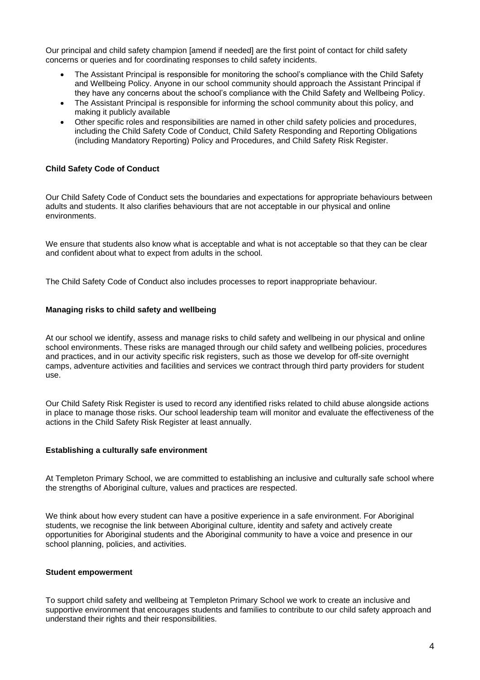Our principal and child safety champion [amend if needed] are the first point of contact for child safety concerns or queries and for coordinating responses to child safety incidents.

- The Assistant Principal is responsible for monitoring the school's compliance with the Child Safety and Wellbeing Policy. Anyone in our school community should approach the Assistant Principal if they have any concerns about the school's compliance with the Child Safety and Wellbeing Policy.
- The Assistant Principal is responsible for informing the school community about this policy, and making it publicly available
- Other specific roles and responsibilities are named in other child safety policies and procedures, including the Child Safety Code of Conduct, Child Safety Responding and Reporting Obligations (including Mandatory Reporting) Policy and Procedures, and Child Safety Risk Register.

## **Child Safety Code of Conduct**

Our Child Safety Code of Conduct sets the boundaries and expectations for appropriate behaviours between adults and students. It also clarifies behaviours that are not acceptable in our physical and online environments.

We ensure that students also know what is acceptable and what is not acceptable so that they can be clear and confident about what to expect from adults in the school.

The Child Safety Code of Conduct also includes processes to report inappropriate behaviour.

#### **Managing risks to child safety and wellbeing**

At our school we identify, assess and manage risks to child safety and wellbeing in our physical and online school environments. These risks are managed through our child safety and wellbeing policies, procedures and practices, and in our activity specific risk registers, such as those we develop for off-site overnight camps, adventure activities and facilities and services we contract through third party providers for student use.

Our Child Safety Risk Register is used to record any identified risks related to child abuse alongside actions in place to manage those risks. Our school leadership team will monitor and evaluate the effectiveness of the actions in the Child Safety Risk Register at least annually.

#### **Establishing a culturally safe environment**

At Templeton Primary School, we are committed to establishing an inclusive and culturally safe school where the strengths of Aboriginal culture, values and practices are respected.

We think about how every student can have a positive experience in a safe environment. For Aboriginal students, we recognise the link between Aboriginal culture, identity and safety and actively create opportunities for Aboriginal students and the Aboriginal community to have a voice and presence in our school planning, policies, and activities.

#### **Student empowerment**

To support child safety and wellbeing at Templeton Primary School we work to create an inclusive and supportive environment that encourages students and families to contribute to our child safety approach and understand their rights and their responsibilities.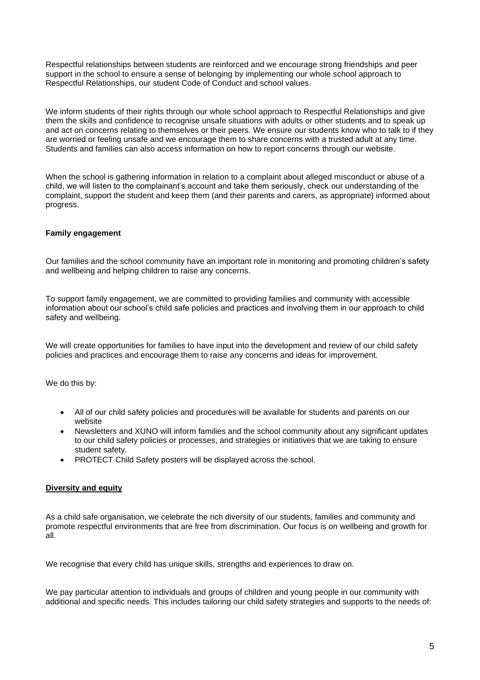Respectful relationships between students are reinforced and we encourage strong friendships and peer support in the school to ensure a sense of belonging by implementing our whole school approach to Respectful Relationships, our student Code of Conduct and school values.

We inform students of their rights through our whole school approach to Respectful Relationships and give them the skills and confidence to recognise unsafe situations with adults or other students and to speak up and act on concerns relating to themselves or their peers. We ensure our students know who to talk to if they are worried or feeling unsafe and we encourage them to share concerns with a trusted adult at any time. Students and families can also access information on how to report concerns through our website.

When the school is gathering information in relation to a complaint about alleged misconduct or abuse of a child, we will listen to the complainant's account and take them seriously, check our understanding of the complaint, support the student and keep them (and their parents and carers, as appropriate) informed about progress.

## **Family engagement**

Our families and the school community have an important role in monitoring and promoting children's safety and wellbeing and helping children to raise any concerns.

To support family engagement, we are committed to providing families and community with accessible information about our school's child safe policies and practices and involving them in our approach to child safety and wellbeing.

We will create opportunities for families to have input into the development and review of our child safety policies and practices and encourage them to raise any concerns and ideas for improvement.

We do this by:

- All of our child safety policies and procedures will be available for students and parents on our website
- Newsletters and XUNO will inform families and the school community about any significant updates to our child safety policies or processes, and strategies or initiatives that we are taking to ensure student safety.
- PROTECT Child Safety posters will be displayed across the school.

#### **Diversity and equity**

As a child safe organisation, we celebrate the rich diversity of our students, families and community and promote respectful environments that are free from discrimination. Our focus is on wellbeing and growth for all.

We recognise that every child has unique skills, strengths and experiences to draw on.

We pay particular attention to individuals and groups of children and young people in our community with additional and specific needs. This includes tailoring our child safety strategies and supports to the needs of: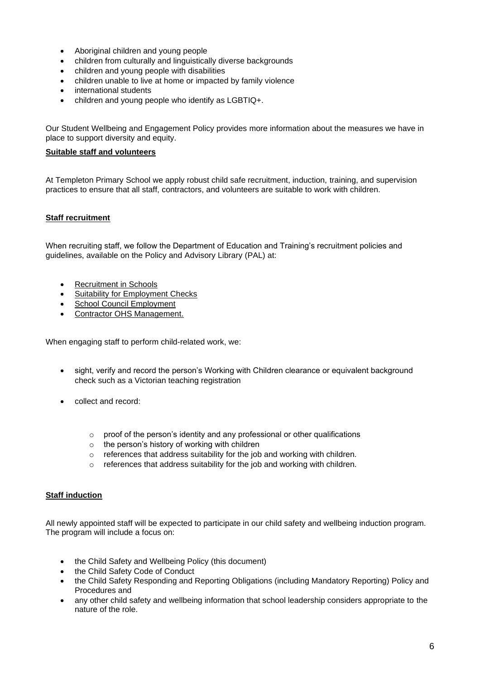- Aboriginal children and young people
- children from culturally and linguistically diverse backgrounds
- children and young people with disabilities
- children unable to live at home or impacted by family violence
- international students
- children and young people who identify as LGBTIQ+.

Our Student Wellbeing and Engagement Policy provides more information about the measures we have in place to support diversity and equity.

#### **Suitable staff and volunteers**

At Templeton Primary School we apply robust child safe recruitment, induction, training, and supervision practices to ensure that all staff, contractors, and volunteers are suitable to work with children.

## **Staff recruitment**

When recruiting staff, we follow the Department of Education and Training's recruitment policies and guidelines, available on the Policy and Advisory Library (PAL) at:

- [Recruitment in Schools](https://www2.education.vic.gov.au/pal/recruitment-schools/overview)
- [Suitability for Employment Checks](https://www2.education.vic.gov.au/pal/suitability-employment-checks/overview)
- [School Council Employment](https://www2.education.vic.gov.au/pal/school-council-employment/overview)
- [Contractor OHS Management.](https://www2.education.vic.gov.au/pal/contractor-ohs-management/policy)

When engaging staff to perform child-related work, we:

- sight, verify and record the person's Working with Children clearance or equivalent background check such as a Victorian teaching registration
- collect and record:
	- o proof of the person's identity and any professional or other qualifications
	- $\circ$  the person's history of working with children
	- o references that address suitability for the job and working with children.
	- o references that address suitability for the job and working with children.

#### **Staff induction**

All newly appointed staff will be expected to participate in our child safety and wellbeing induction program. The program will include a focus on:

- the Child Safety and Wellbeing Policy (this document)
- the Child Safety Code of Conduct
- the Child Safety Responding and Reporting Obligations (including Mandatory Reporting) Policy and Procedures and
- any other child safety and wellbeing information that school leadership considers appropriate to the nature of the role.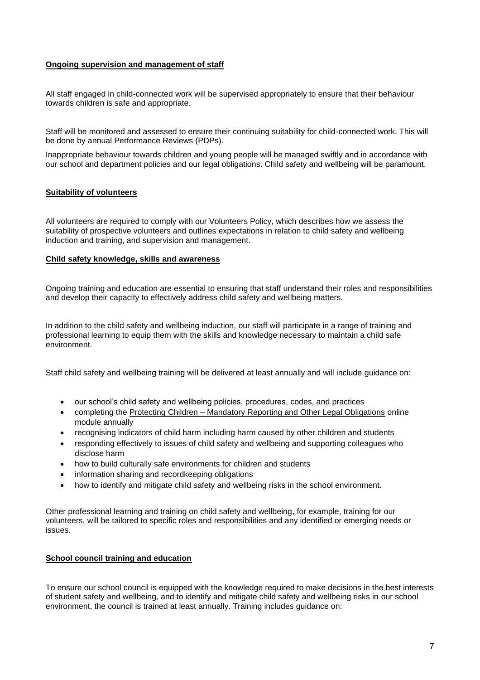## **Ongoing supervision and management of staff**

All staff engaged in child-connected work will be supervised appropriately to ensure that their behaviour towards children is safe and appropriate.

Staff will be monitored and assessed to ensure their continuing suitability for child-connected work. This will be done by annual Performance Reviews (PDPs).

Inappropriate behaviour towards children and young people will be managed swiftly and in accordance with our school and department policies and our legal obligations. Child safety and wellbeing will be paramount.

## **Suitability of volunteers**

All volunteers are required to comply with our Volunteers Policy, which describes how we assess the suitability of prospective volunteers and outlines expectations in relation to child safety and wellbeing induction and training, and supervision and management.

#### **Child safety knowledge, skills and awareness**

Ongoing training and education are essential to ensuring that staff understand their roles and responsibilities and develop their capacity to effectively address child safety and wellbeing matters.

In addition to the child safety and wellbeing induction, our staff will participate in a range of training and professional learning to equip them with the skills and knowledge necessary to maintain a child safe environment.

Staff child safety and wellbeing training will be delivered at least annually and will include guidance on:

- our school's child safety and wellbeing policies, procedures, codes, and practices
- completing the Protecting Children [Mandatory Reporting and Other Legal Obligations](http://elearn.com.au/det/protectingchildren/) online module annually
- recognising indicators of child harm including harm caused by other children and students
- responding effectively to issues of child safety and wellbeing and supporting colleagues who disclose harm
- how to build culturally safe environments for children and students
- information sharing and recordkeeping obligations
- how to identify and mitigate child safety and wellbeing risks in the school environment.

Other professional learning and training on child safety and wellbeing, for example, training for our volunteers, will be tailored to specific roles and responsibilities and any identified or emerging needs or issues.

## **School council training and education**

To ensure our school council is equipped with the knowledge required to make decisions in the best interests of student safety and wellbeing, and to identify and mitigate child safety and wellbeing risks in our school environment, the council is trained at least annually. Training includes guidance on: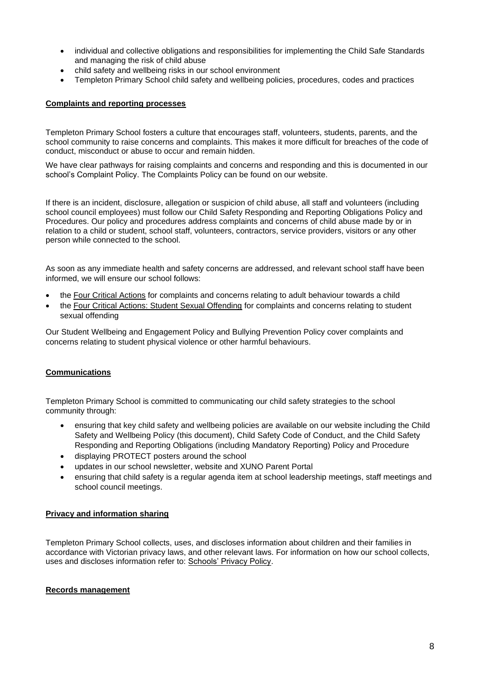- individual and collective obligations and responsibilities for implementing the Child Safe Standards and managing the risk of child abuse
- child safety and wellbeing risks in our school environment
- Templeton Primary School child safety and wellbeing policies, procedures, codes and practices

## **Complaints and reporting processes**

Templeton Primary School fosters a culture that encourages staff, volunteers, students, parents, and the school community to raise concerns and complaints. This makes it more difficult for breaches of the code of conduct, misconduct or abuse to occur and remain hidden.

We have clear pathways for raising complaints and concerns and responding and this is documented in our school's Complaint Policy. The Complaints Policy can be found on our website.

If there is an incident, disclosure, allegation or suspicion of child abuse, all staff and volunteers (including school council employees) must follow our Child Safety Responding and Reporting Obligations Policy and Procedures. Our policy and procedures address complaints and concerns of child abuse made by or in relation to a child or student, school staff, volunteers, contractors, service providers, visitors or any other person while connected to the school.

As soon as any immediate health and safety concerns are addressed, and relevant school staff have been informed, we will ensure our school follows:

- the [Four Critical Actions](https://www.education.vic.gov.au/Documents/about/programs/health/protect/FourCriticalActions_ChildAbuse.pdf) for complaints and concerns relating to adult behaviour towards a child
- the [Four Critical Actions: Student Sexual Offending](https://www.education.vic.gov.au/school/teachers/health/childprotection/Pages/stusexual.aspx) for complaints and concerns relating to student sexual offending

Our Student Wellbeing and Engagement Policy and Bullying Prevention Policy cover complaints and concerns relating to student physical violence or other harmful behaviours.

## **Communications**

Templeton Primary School is committed to communicating our child safety strategies to the school community through:

- ensuring that key child safety and wellbeing policies are available on our website including the Child Safety and Wellbeing Policy (this document), Child Safety Code of Conduct, and the Child Safety Responding and Reporting Obligations (including Mandatory Reporting) Policy and Procedure
- displaying PROTECT posters around the school
- updates in our school newsletter, website and XUNO Parent Portal
- ensuring that child safety is a regular agenda item at school leadership meetings, staff meetings and school council meetings.

## **Privacy and information sharing**

Templeton Primary School collects, uses, and discloses information about children and their families in accordance with Victorian privacy laws, and other relevant laws. For information on how our school collects, uses and discloses information refer to: [Schools' Privacy Policy.](https://www.education.vic.gov.au/Pages/schoolsprivacypolicy.aspx)

## **Records management**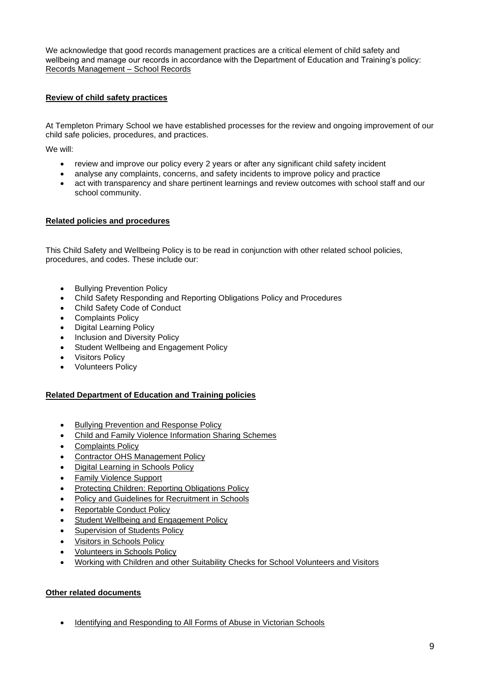We acknowledge that good records management practices are a critical element of child safety and wellbeing and manage our records in accordance with the Department of Education and Training's policy: [Records Management –](https://www2.education.vic.gov.au/pal/records-management/policy) School Records

## **Review of child safety practices**

At Templeton Primary School we have established processes for the review and ongoing improvement of our child safe policies, procedures, and practices.

We will:

- review and improve our policy every 2 years or after any significant child safety incident
- analyse any complaints, concerns, and safety incidents to improve policy and practice
- act with transparency and share pertinent learnings and review outcomes with school staff and our school community.

## **Related policies and procedures**

This Child Safety and Wellbeing Policy is to be read in conjunction with other related school policies, procedures, and codes. These include our:

- Bullying Prevention Policy
- Child Safety Responding and Reporting Obligations Policy and Procedures
- Child Safety Code of Conduct
- Complaints Policy
- Digital Learning Policy
- Inclusion and Diversity Policy
- Student Wellbeing and Engagement Policy
- Visitors Policy
- Volunteers Policy

## **Related Department of Education and Training policies**

- [Bullying Prevention and Response Policy](https://www2.education.vic.gov.au/pal/bullying-prevention-response/policy)
- [Child and Family Violence Information Sharing Schemes](https://www2.education.vic.gov.au/pal/information-sharing-schemes/policy)
- [Complaints Policy](https://www2.education.vic.gov.au/pal/complaints/policy)
- [Contractor OHS Management Policy](https://www2.education.vic.gov.au/pal/contractor-ohs-management/policy)
- [Digital Learning in Schools Policy](https://www2.education.vic.gov.au/pal/digital-learning/policy)
- [Family Violence Support](https://www2.education.vic.gov.au/pal/family-violence-support/policy)
- **[Protecting Children: Reporting Obligations Policy](https://www2.education.vic.gov.au/pal/protecting-children/policy)**
- [Policy and Guidelines for Recruitment in Schools](https://www2.education.vic.gov.au/pal/recruitment-schools/policy-and-guidelines)
- [Reportable Conduct Policy](https://www2.education.vic.gov.au/pal/reportable-conduct-scheme/policy)
- Student [Wellbeing and Engagement Policy](https://www2.education.vic.gov.au/pal/student-engagement/policy)
- [Supervision of Students Policy](https://www2.education.vic.gov.au/pal/supervision-students/policy)
- [Visitors in Schools Policy](https://www2.education.vic.gov.au/pal/visitors/policy)
- [Volunteers in Schools Policy](https://www2.education.vic.gov.au/pal/volunteers/policy)
- [Working with Children and other Suitability Checks for School Volunteers and Visitors](https://www2.education.vic.gov.au/pal/suitability-checks/policy)

# **Other related documents**

• [Identifying and Responding to All Forms of Abuse in Victorian Schools](https://www.education.vic.gov.au/Documents/about/programs/health/protect/ChildSafeStandard5_SchoolsGuide.pdf)